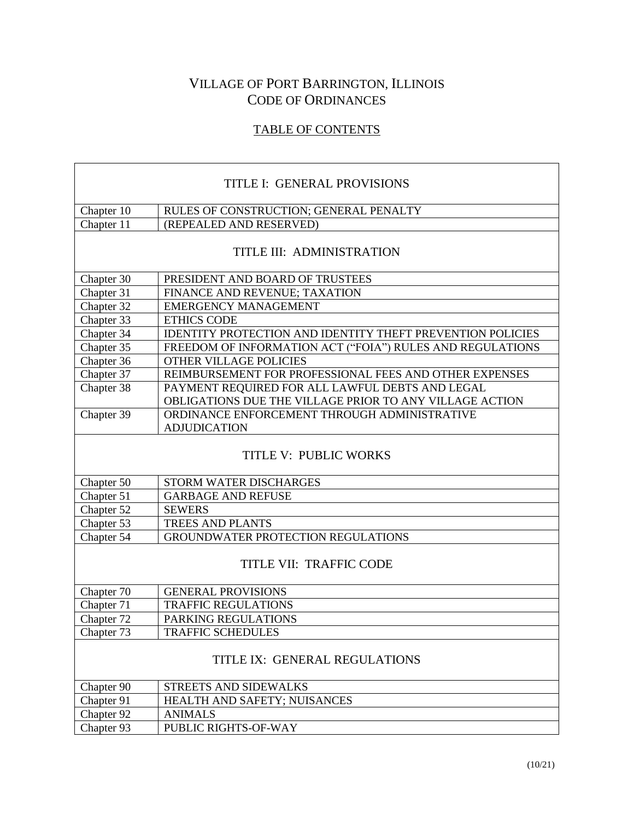## VILLAGE OF PORT BARRINGTON, ILLINOIS CODE OF ORDINANCES

## TABLE OF CONTENTS

| TITLE I: GENERAL PROVISIONS   |                                                                   |
|-------------------------------|-------------------------------------------------------------------|
| Chapter 10                    | RULES OF CONSTRUCTION; GENERAL PENALTY                            |
| Chapter 11                    | (REPEALED AND RESERVED)                                           |
| TITLE III: ADMINISTRATION     |                                                                   |
| Chapter 30                    | PRESIDENT AND BOARD OF TRUSTEES                                   |
| Chapter 31                    | FINANCE AND REVENUE; TAXATION                                     |
| Chapter 32                    | <b>EMERGENCY MANAGEMENT</b>                                       |
| Chapter 33                    | <b>ETHICS CODE</b>                                                |
| Chapter 34                    | <b>IDENTITY PROTECTION AND IDENTITY THEFT PREVENTION POLICIES</b> |
| Chapter 35                    | FREEDOM OF INFORMATION ACT ("FOIA") RULES AND REGULATIONS         |
| Chapter 36                    | <b>OTHER VILLAGE POLICIES</b>                                     |
| Chapter 37                    | REIMBURSEMENT FOR PROFESSIONAL FEES AND OTHER EXPENSES            |
| Chapter 38                    | PAYMENT REQUIRED FOR ALL LAWFUL DEBTS AND LEGAL                   |
|                               | OBLIGATIONS DUE THE VILLAGE PRIOR TO ANY VILLAGE ACTION           |
| Chapter 39                    | ORDINANCE ENFORCEMENT THROUGH ADMINISTRATIVE                      |
|                               | <b>ADJUDICATION</b>                                               |
| TITLE V: PUBLIC WORKS         |                                                                   |
| Chapter 50                    | STORM WATER DISCHARGES                                            |
| Chapter 51                    | <b>GARBAGE AND REFUSE</b>                                         |
| Chapter 52                    | <b>SEWERS</b>                                                     |
| Chapter 53                    | <b>TREES AND PLANTS</b>                                           |
| Chapter 54                    | GROUNDWATER PROTECTION REGULATIONS                                |
| TITLE VII: TRAFFIC CODE       |                                                                   |
| Chapter 70                    | <b>GENERAL PROVISIONS</b>                                         |
| Chapter 71                    | <b>TRAFFIC REGULATIONS</b>                                        |
| Chapter 72                    | PARKING REGULATIONS                                               |
| Chapter 73                    | <b>TRAFFIC SCHEDULES</b>                                          |
| TITLE IX: GENERAL REGULATIONS |                                                                   |
| Chapter 90                    | STREETS AND SIDEWALKS                                             |
| Chapter 91                    | HEALTH AND SAFETY; NUISANCES                                      |
| Chapter 92                    | <b>ANIMALS</b>                                                    |
| Chapter 93                    | PUBLIC RIGHTS-OF-WAY                                              |